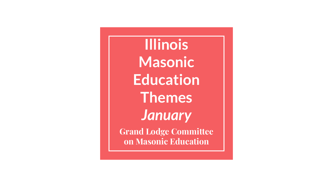**Illinois Masonic Education Themes** *January* **Grand Lodge Committee on Masonic Education**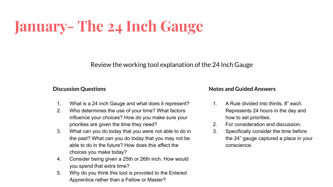## **January- The 24 Inch Gauge**

Review the working tool explanation of the 24 Inch Gauge

## **Discussion Questions**

- 1. What is a 24 inch Gauge and what does it represent?
- 2. Who determines the use of your time? What factors influence your choices? How do you make sure your priorities are given the time they need?
- 3. What can you do today that you were not able to do in the past? What can you do today that you may not be able to do in the future? How does this affect the choices you make today?
- 4. Consider being given a 25th or 26th inch. How would you spend that extra time?
- 5. Why do you think this tool is provided to the Entered Apprentice rather than a Fellow or Master?

## **Notes and Guided Answers**

- 1. A Rule divided into thirds, 8" each. Represents 24 hours in the day and how to set priorities.
- 2. For consideration and discussion.
- 3. Specifically consider the time before the 24" gauge captured a place in your conscience.